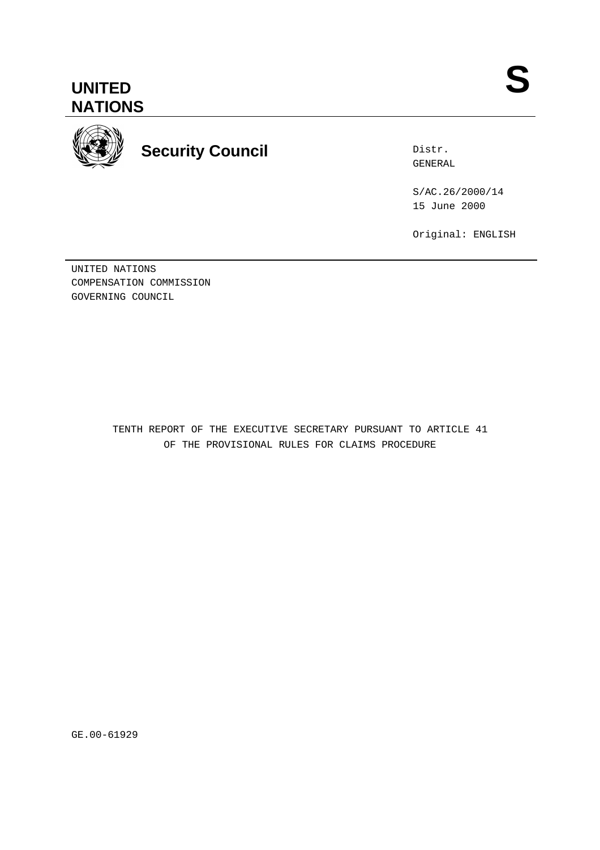

**Security Council**

Distr. GENERAL

S/AC.26/2000/14 15 June 2000

Original: ENGLISH

UNITED NATIONS COMPENSATION COMMISSION GOVERNING COUNCIL

> TENTH REPORT OF THE EXECUTIVE SECRETARY PURSUANT TO ARTICLE 41 OF THE PROVISIONAL RULES FOR CLAIMS PROCEDURE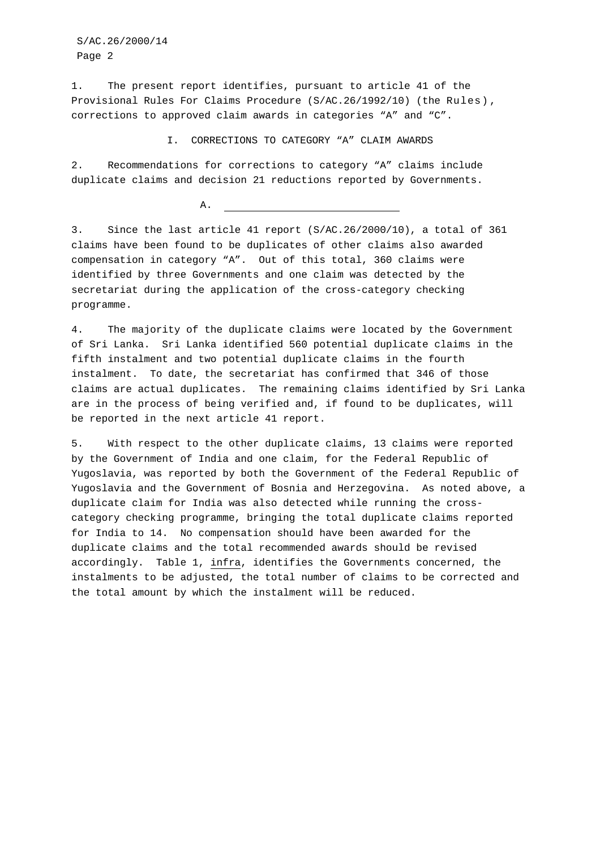S/AC.26/2000/14 Page 2

1. The present report identifies, pursuant to article 41 of the Provisional Rules For Claims Procedure (S/AC.26/1992/10) (the Rules) , corrections to approved claim awards in categories "A" and "C".

I. CORRECTIONS TO CATEGORY "A" CLAIM AWARDS

2. Recommendations for corrections to category "A" claims include duplicate claims and decision 21 reductions reported by Governments.

 $A$ .

3. Since the last article 41 report (S/AC.26/2000/10), a total of 361 claims have been found to be duplicates of other claims also awarded compensation in category "A". Out of this total, 360 claims were identified by three Governments and one claim was detected by the secretariat during the application of the cross-category checking programme.

4. The majority of the duplicate claims were located by the Government of Sri Lanka. Sri Lanka identified 560 potential duplicate claims in the fifth instalment and two potential duplicate claims in the fourth instalment. To date, the secretariat has confirmed that 346 of those claims are actual duplicates. The remaining claims identified by Sri Lanka are in the process of being verified and, if found to be duplicates, will be reported in the next article 41 report.

5. With respect to the other duplicate claims, 13 claims were reported by the Government of India and one claim, for the Federal Republic of Yugoslavia, was reported by both the Government of the Federal Republic of Yugoslavia and the Government of Bosnia and Herzegovina. As noted above, a duplicate claim for India was also detected while running the crosscategory checking programme, bringing the total duplicate claims reported for India to 14. No compensation should have been awarded for the duplicate claims and the total recommended awards should be revised accordingly. Table 1, infra, identifies the Governments concerned, the instalments to be adjusted, the total number of claims to be corrected and the total amount by which the instalment will be reduced.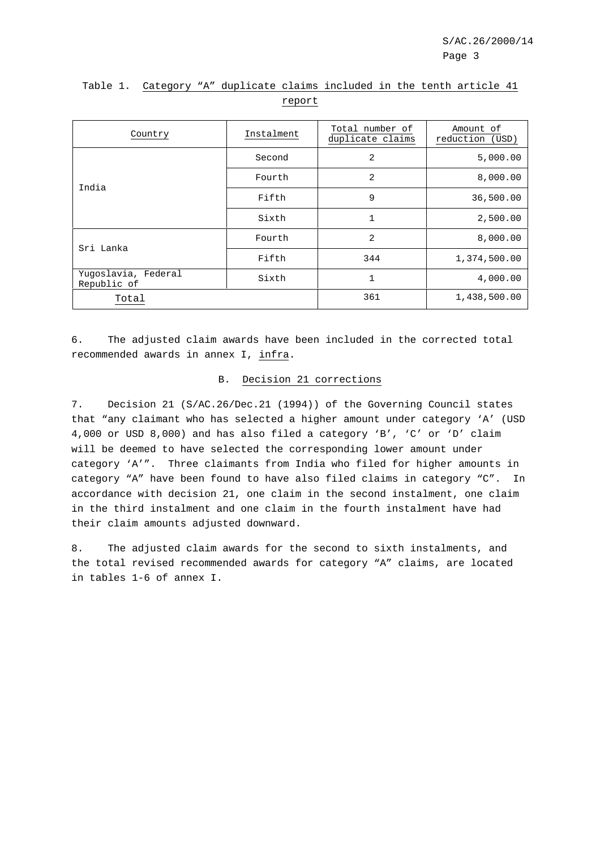| Country                            | Total number of<br>Instalment<br>duplicate claims |     | Amount of<br>reduction (USD) |
|------------------------------------|---------------------------------------------------|-----|------------------------------|
|                                    | Second                                            | 2   | 5,000.00                     |
| India                              | Fourth                                            | 2   | 8,000.00                     |
|                                    | Fifth                                             | 9   | 36,500.00                    |
|                                    | Sixth                                             | 1   | 2,500.00                     |
| Sri Lanka                          | Fourth                                            | 2   | 8,000.00                     |
|                                    | Fifth                                             | 344 | 1,374,500.00                 |
| Yugoslavia, Federal<br>Republic of | Sixth                                             | 1   | 4,000.00                     |
| Total                              |                                                   | 361 | 1,438,500.00                 |

# Table 1. Category "A" duplicate claims included in the tenth article 41 report

6. The adjusted claim awards have been included in the corrected total recommended awards in annex I, infra.

## B. Decision 21 corrections

7. Decision 21 (S/AC.26/Dec.21 (1994)) of the Governing Council states that "any claimant who has selected a higher amount under category 'A' (USD 4,000 or USD 8,000) and has also filed a category 'B', 'C' or 'D' claim will be deemed to have selected the corresponding lower amount under category 'A'". Three claimants from India who filed for higher amounts in category "A" have been found to have also filed claims in category "C". In accordance with decision 21, one claim in the second instalment, one claim in the third instalment and one claim in the fourth instalment have had their claim amounts adjusted downward.

8. The adjusted claim awards for the second to sixth instalments, and the total revised recommended awards for category "A" claims, are located in tables 1-6 of annex I.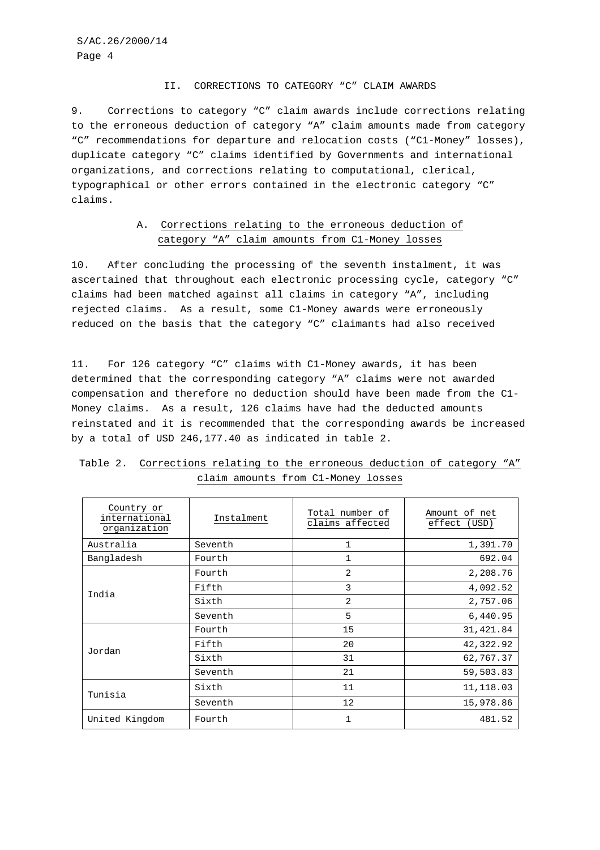#### II. CORRECTIONS TO CATEGORY "C" CLAIM AWARDS

9. Corrections to category "C" claim awards include corrections relating to the erroneous deduction of category "A" claim amounts made from category "C" recommendations for departure and relocation costs ("C1-Money" losses), duplicate category "C" claims identified by Governments and international organizations, and corrections relating to computational, clerical, typographical or other errors contained in the electronic category "C" claims.

## A. Corrections relating to the erroneous deduction of category "A" claim amounts from C1-Money losses

10. After concluding the processing of the seventh instalment, it was ascertained that throughout each electronic processing cycle, category "C" claims had been matched against all claims in category "A", including rejected claims. As a result, some C1-Money awards were erroneously reduced on the basis that the category "C" claimants had also received

11. For 126 category "C" claims with C1-Money awards, it has been determined that the corresponding category "A" claims were not awarded compensation and therefore no deduction should have been made from the C1- Money claims. As a result, 126 claims have had the deducted amounts reinstated and it is recommended that the corresponding awards be increased by a total of USD 246,177.40 as indicated in table 2.

| Country or<br>international<br>organization | Instalment | Total number of<br>claims affected | Amount of net<br>effect (USD) |
|---------------------------------------------|------------|------------------------------------|-------------------------------|
| Australia                                   | Seventh    | 1                                  | 1,391.70                      |
| Bangladesh                                  | Fourth     | 1                                  | 692.04                        |
| India                                       | Fourth     | 2                                  | 2,208.76                      |
|                                             | Fifth      | 3                                  | 4,092.52                      |
|                                             | Sixth      | $\mathfrak{D}$                     | 2,757.06                      |
|                                             | Seventh    | 5                                  | 6,440.95                      |
|                                             | Fourth     | 15                                 | 31,421.84                     |
| Jordan                                      | Fifth      | 20                                 | 42,322.92                     |
|                                             | Sixth      | 31                                 | 62,767.37                     |
|                                             | Seventh    | 21                                 | 59,503.83                     |
| Tunisia                                     | Sixth      | 11                                 | 11,118.03                     |
|                                             | Seventh    | 12                                 | 15,978.86                     |
| United Kingdom                              | Fourth     | $\mathbf 1$                        | 481.52                        |

|  | Table 2. Corrections relating to the erroneous deduction of category "A" |  |  |
|--|--------------------------------------------------------------------------|--|--|
|  | claim amounts from C1-Money losses                                       |  |  |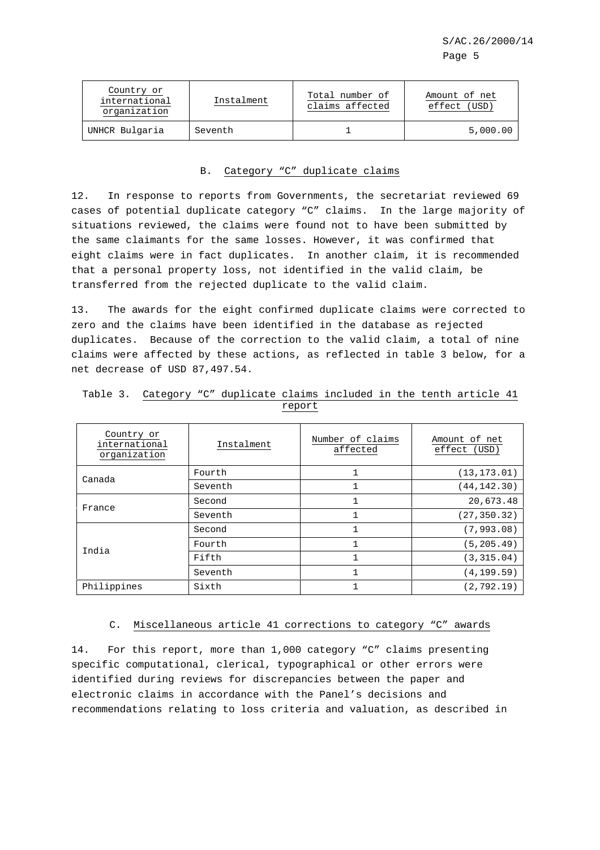| Country or<br>international<br>organization | Instalment | Total number of<br>claims affected | Amount of net<br>effect (USD) |
|---------------------------------------------|------------|------------------------------------|-------------------------------|
| UNHCR Bulgaria                              | Seventh    |                                    | 5,000.00                      |

# B. Category "C" duplicate claims

12. In response to reports from Governments, the secretariat reviewed 69 cases of potential duplicate category "C" claims. In the large majority of situations reviewed, the claims were found not to have been submitted by the same claimants for the same losses. However, it was confirmed that eight claims were in fact duplicates. In another claim, it is recommended that a personal property loss, not identified in the valid claim, be transferred from the rejected duplicate to the valid claim.

13. The awards for the eight confirmed duplicate claims were corrected to zero and the claims have been identified in the database as rejected duplicates. Because of the correction to the valid claim, a total of nine claims were affected by these actions, as reflected in table 3 below, for a net decrease of USD 87,497.54.

| Country or<br>international<br>organization | Instalment | Number of claims<br>affected | Amount of net<br>effect<br>(USD) |
|---------------------------------------------|------------|------------------------------|----------------------------------|
| Canada                                      | Fourth     |                              | (13, 173, 01)                    |
|                                             | Seventh    |                              | (44, 142.30)                     |
| France                                      | Second     | 1                            | 20,673.48                        |
|                                             | Seventh    | $\mathbf{1}$                 | (27, 350.32)                     |
| India                                       | Second     | $\mathbf{1}$                 | (7, 993.08)                      |
|                                             | Fourth     | 1                            | (5, 205.49)                      |
|                                             | Fifth      | 1                            | (3, 315.04)                      |
|                                             | Seventh    | 1                            | (4, 199.59)                      |
| Philippines                                 | Sixth      |                              | (2, 792.19)                      |

|  | Table 3. Category "C" duplicate claims included in the tenth article 41 |        |  |  |  |
|--|-------------------------------------------------------------------------|--------|--|--|--|
|  |                                                                         | report |  |  |  |

#### C. Miscellaneous article 41 corrections to category "C" awards

14. For this report, more than 1,000 category "C" claims presenting specific computational, clerical, typographical or other errors were identified during reviews for discrepancies between the paper and electronic claims in accordance with the Panel's decisions and recommendations relating to loss criteria and valuation, as described in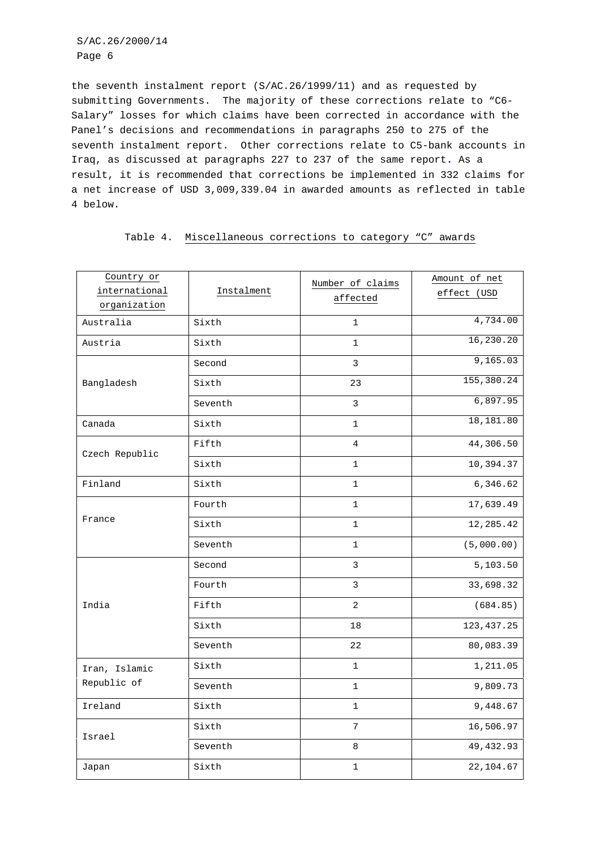S/AC.26/2000/14 Page 6

the seventh instalment report (S/AC.26/1999/11) and as requested by submitting Governments. The majority of these corrections relate to "C6- Salary" losses for which claims have been corrected in accordance with the Panel's decisions and recommendations in paragraphs 250 to 275 of the seventh instalment report. Other corrections relate to C5-bank accounts in Iraq, as discussed at paragraphs 227 to 237 of the same report**.** As a result, it is recommended that corrections be implemented in 332 claims for a net increase of USD 3,009,339.04 in awarded amounts as reflected in table 4 below.

| Table 4. Miscellaneous corrections to category "C" awards |  |  |
|-----------------------------------------------------------|--|--|
|-----------------------------------------------------------|--|--|

| Country or<br>international<br>organization | Instalment | Number of claims<br>affected | Amount of net<br>effect (USD |
|---------------------------------------------|------------|------------------------------|------------------------------|
| Australia                                   | Sixth      | 1                            | 4,734.00                     |
| Austria                                     | Sixth      | $\mathbf 1$                  | 16, 230.20                   |
|                                             | Second     | 3                            | 9,165.03                     |
| Bangladesh                                  | Sixth      | 23                           | 155,380.24                   |
|                                             | Seventh    | 3                            | 6,897.95                     |
| Canada                                      | Sixth      | $\mathbf 1$                  | 18,181.80                    |
| Czech Republic                              | Fifth      | 4                            | 44,306.50                    |
|                                             | Sixth      | $\mathbf{1}$                 | 10,394.37                    |
| Finland                                     | Sixth      | $\mathbf{1}$                 | 6,346.62                     |
|                                             | Fourth     | 1                            | 17,639.49                    |
| France                                      | Sixth      | $\mathbf 1$                  | 12,285.42                    |
|                                             | Seventh    | $\mathbf{1}$                 | (5,000.00)                   |
|                                             | Second     | 3                            | 5,103.50                     |
|                                             | Fourth     | 3                            | 33,698.32                    |
| India                                       | Fifth      | 2                            | (684.85)                     |
|                                             | Sixth      | 18                           | 123, 437.25                  |
|                                             | Seventh    | 22                           | 80,083.39                    |
| Iran, Islamic                               | Sixth      | $\mathbf{1}$                 | 1,211.05                     |
| Republic of                                 | Seventh    | $\mathbf 1$                  | 9,809.73                     |
| Ireland                                     | Sixth      | $\mathbf 1$                  | 9,448.67                     |
| Israel                                      | Sixth      | $\overline{7}$               | 16,506.97                    |
|                                             | Seventh    | 8                            | 49, 432.93                   |
| Japan                                       | Sixth      | $\mathbf 1$                  | 22,104.67                    |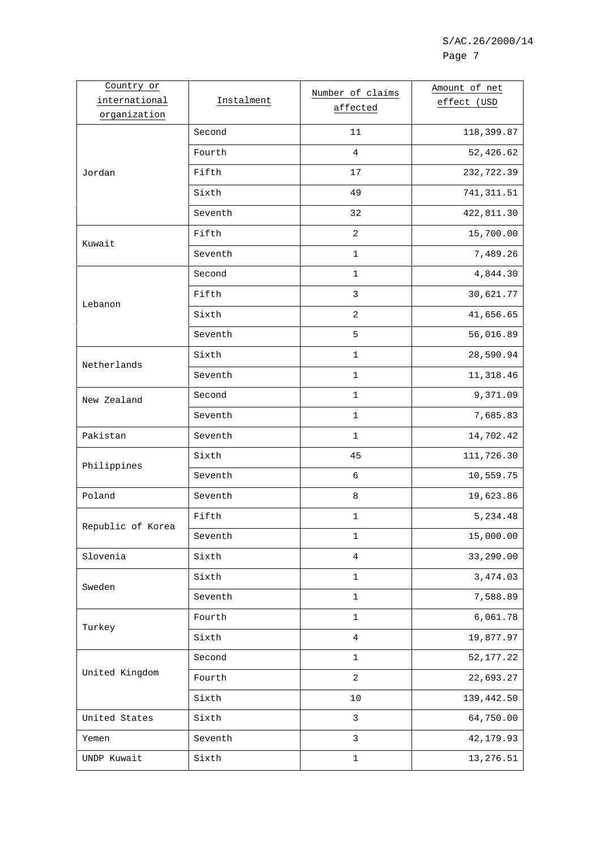| Country or        |            | Number of claims | Amount of net |
|-------------------|------------|------------------|---------------|
| international     | Instalment | affected         | effect (USD   |
| organization      |            |                  |               |
|                   | Second     | 11               | 118,399.87    |
|                   | Fourth     | $\overline{4}$   | 52,426.62     |
| Jordan            | Fifth      | 17               | 232,722.39    |
|                   | Sixth      | 49               | 741, 311.51   |
|                   | Seventh    | 32               | 422,811.30    |
| Kuwait            | Fifth      | $\overline{2}$   | 15,700.00     |
|                   | Seventh    | 1                | 7,489.26      |
|                   | Second     | 1                | 4,844.30      |
| Lebanon           | Fifth      | $\mathsf 3$      | 30,621.77     |
|                   | Sixth      | $\overline{2}$   | 41,656.65     |
|                   | Seventh    | 5                | 56,016.89     |
| Netherlands       | Sixth      | $\mathbf{1}$     | 28,590.94     |
|                   | Seventh    | 1                | 11,318.46     |
| New Zealand       | Second     | 1                | 9,371.09      |
|                   | Seventh    | $\mathbf{1}$     | 7,685.83      |
| Pakistan          | Seventh    | 1                | 14,702.42     |
| Philippines       | Sixth      | 45               | 111,726.30    |
|                   | Seventh    | 6                | 10,559.75     |
| Poland            | Seventh    | 8                | 19,623.86     |
| Republic of Korea | Fifth      | 1                | 5,234.48      |
|                   | Seventh    | $\mathbf 1$      | 15,000.00     |
| Slovenia          | Sixth      | 4                | 33,290.00     |
| Sweden            | Sixth      | $\mathbf 1$      | 3,474.03      |
|                   | Seventh    | $\mathbf 1$      | 7,588.89      |
| Turkey            | Fourth     | 1                | 6,061.78      |
|                   | Sixth      | $\overline{4}$   | 19,877.97     |
|                   | Second     | $\mathbf 1$      | 52, 177. 22   |
| United Kingdom    | Fourth     | 2                | 22,693.27     |
|                   | Sixth      | 10               | 139,442.50    |
| United States     | Sixth      | $\mathsf{3}$     | 64,750.00     |
| Yemen             | Seventh    | 3                | 42,179.93     |
| UNDP Kuwait       | Sixth      | $\mathbf 1$      | 13,276.51     |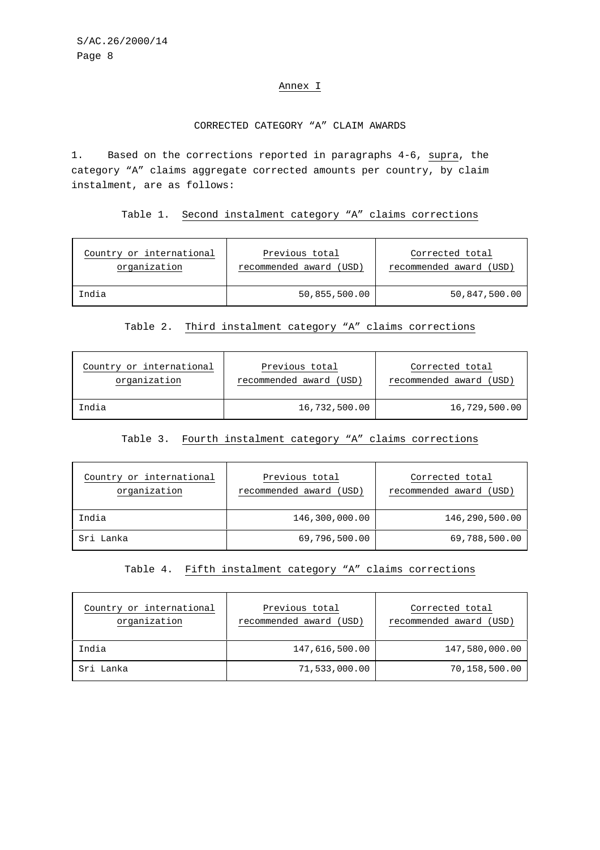### Annex I

#### CORRECTED CATEGORY "A" CLAIM AWARDS

1. Based on the corrections reported in paragraphs 4-6, supra, the category "A" claims aggregate corrected amounts per country, by claim instalment, are as follows:

Table 1. Second instalment category "A" claims corrections

| Country or international | Previous total          | Corrected total         |
|--------------------------|-------------------------|-------------------------|
| organization             | recommended award (USD) | recommended award (USD) |
| India                    | 50,855,500.00           | 50,847,500.00           |

## Table 2. Third instalment category "A" claims corrections

| Country or international | Previous total          | Corrected total         |
|--------------------------|-------------------------|-------------------------|
| organization             | recommended award (USD) | recommended award (USD) |
| India                    | 16,732,500.00           | 16,729,500.00           |

#### Table 3. Fourth instalment category "A" claims corrections

| Country or international<br>organization | Previous total<br>recommended award (USD) | Corrected total<br>recommended award (USD) |
|------------------------------------------|-------------------------------------------|--------------------------------------------|
| India                                    | 146,300,000.00                            | 146,290,500.00                             |
| Sri Lanka                                | 69,796,500.00                             | 69,788,500.00                              |

#### Table 4. Fifth instalment category "A" claims corrections

| Country or international<br>organization | Previous total<br>recommended award (USD) | Corrected total<br>recommended award (USD) |  |  |  |
|------------------------------------------|-------------------------------------------|--------------------------------------------|--|--|--|
| India                                    | 147,616,500.00                            | 147,580,000.00                             |  |  |  |
| Sri Lanka                                | 71,533,000.00                             | 70,158,500.00                              |  |  |  |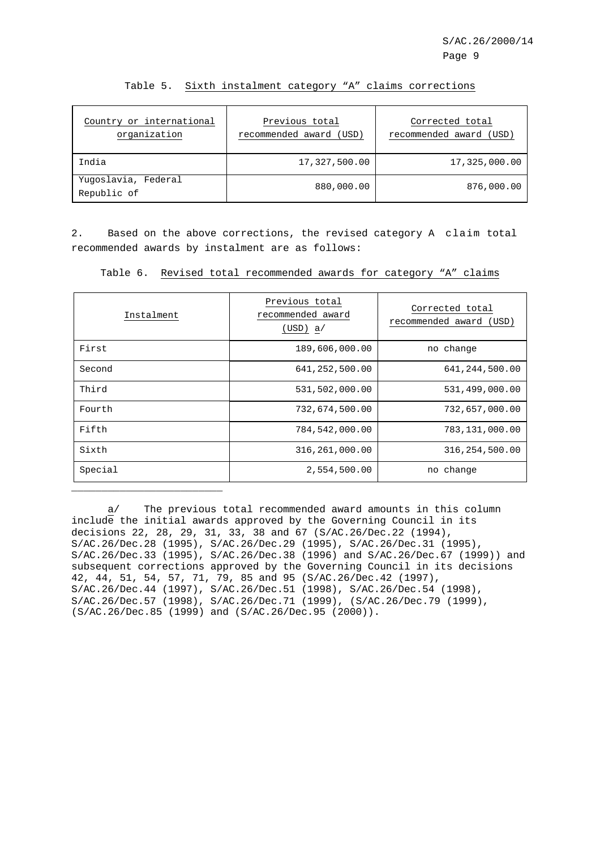| Country or international<br>organization | Previous total<br>recommended award (USD) | Corrected total<br>recommended award (USD) |  |  |
|------------------------------------------|-------------------------------------------|--------------------------------------------|--|--|
| India                                    | 17,327,500.00                             | 17,325,000.00                              |  |  |
| Yuqoslavia, Federal<br>Republic of       | 880,000.00                                | 876,000.00                                 |  |  |

Table 5. Sixth instalment category "A" claims corrections

2. Based on the above corrections, the revised category A claim total recommended awards by instalment are as follows:

Table 6. Revised total recommended awards for category "A" claims

| Instalment | Previous total<br>recommended award<br>(USD) a/ | Corrected total<br>recommended award<br>(USD) |
|------------|-------------------------------------------------|-----------------------------------------------|
| First      | 189,606,000.00                                  | no change                                     |
| Second     | 641,252,500.00                                  | 641, 244, 500.00                              |
| Third      | 531,502,000.00                                  | 531,499,000.00                                |
| Fourth     | 732,674,500.00                                  | 732,657,000.00                                |
| Fifth      | 784,542,000.00                                  | 783,131,000.00                                |
| Sixth      | 316,261,000.00                                  | 316, 254, 500.00                              |
| Special    | 2,554,500.00                                    | no change                                     |
|            |                                                 |                                               |

a/ The previous total recommended award amounts in this column include the initial awards approved by the Governing Council in its decisions 22, 28, 29, 31, 33, 38 and 67 (S/AC.26/Dec.22 (1994), S/AC.26/Dec.28 (1995), S/AC.26/Dec.29 (1995), S/AC.26/Dec.31 (1995), S/AC.26/Dec.33 (1995), S/AC.26/Dec.38 (1996) and S/AC.26/Dec.67 (1999)) and subsequent corrections approved by the Governing Council in its decisions 42, 44, 51, 54, 57, 71, 79, 85 and 95 (S/AC.26/Dec.42 (1997), S/AC.26/Dec.44 (1997), S/AC.26/Dec.51 (1998), S/AC.26/Dec.54 (1998), S/AC.26/Dec.57 (1998), S/AC.26/Dec.71 (1999), (S/AC.26/Dec.79 (1999), (S/AC.26/Dec.85 (1999) and (S/AC.26/Dec.95 (2000)).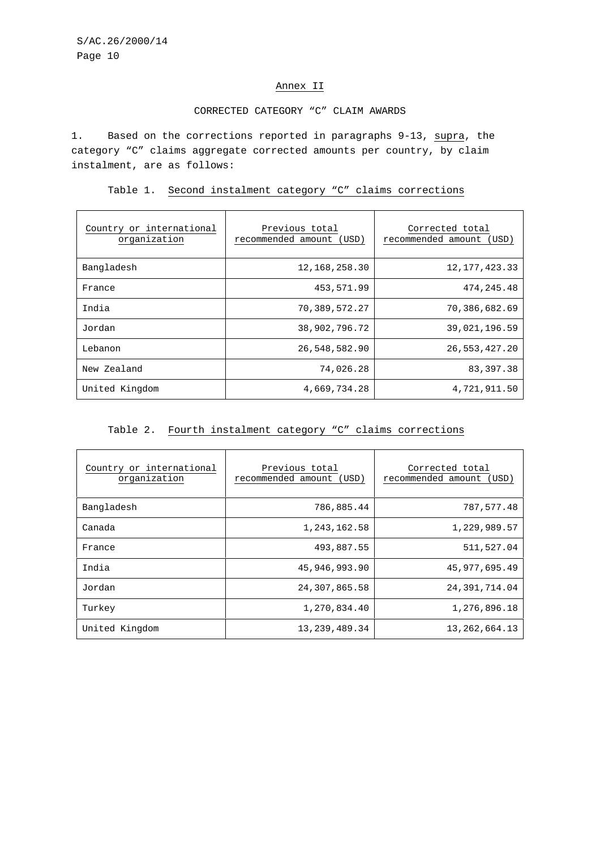## Annex II

### CORRECTED CATEGORY "C" CLAIM AWARDS

1. Based on the corrections reported in paragraphs 9-13, supra, the category "C" claims aggregate corrected amounts per country, by claim instalment, are as follows:

Table 1. Second instalment category "C" claims corrections

| Country or international<br>organization | Previous total<br>recommended amount (USD) | Corrected total<br>recommended amount (USD) |  |
|------------------------------------------|--------------------------------------------|---------------------------------------------|--|
| Bangladesh                               | 12, 168, 258.30                            | 12, 177, 423.33                             |  |
| France                                   | 453,571.99                                 | 474, 245. 48                                |  |
| India                                    | 70,389,572.27                              | 70,386,682.69                               |  |
| Jordan                                   | 38,902,796.72                              | 39,021,196.59                               |  |
| Lebanon                                  | 26,548,582.90                              | 26,553,427.20                               |  |
| New Zealand                              | 74,026.28                                  | 83, 397. 38                                 |  |
| United Kingdom                           | 4,669,734.28                               | 4,721,911.50                                |  |

# Table 2. Fourth instalment category "C" claims corrections

| Country or international<br>organization | Previous total<br>recommended amount (USD) | Corrected total<br>recommended amount<br>(USD) |
|------------------------------------------|--------------------------------------------|------------------------------------------------|
| Bangladesh                               | 786,885.44                                 | 787,577.48                                     |
| Canada                                   | 1,243,162.58                               | 1,229,989.57                                   |
| France                                   | 493,887.55                                 | 511,527.04                                     |
| India                                    | 45,946,993,90                              | 45,977,695.49                                  |
| Jordan                                   | 24,307,865.58                              | 24,391,714.04                                  |
| Turkey                                   | 1,270,834.40                               | 1,276,896.18                                   |
| United Kingdom                           | 13, 239, 489. 34                           | 13, 262, 664. 13                               |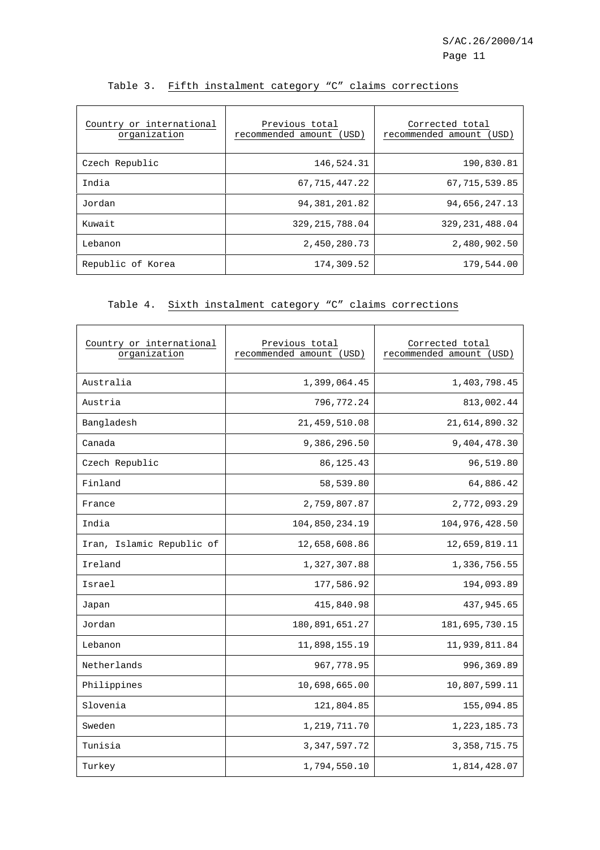| Country or international<br>organization | Previous total<br>recommended amount (USD) | Corrected total<br>recommended amount<br>(USD) |
|------------------------------------------|--------------------------------------------|------------------------------------------------|
| Czech Republic                           | 146,524.31                                 | 190,830.81                                     |
| India                                    | 67, 715, 447.22                            | 67, 715, 539.85                                |
| Jordan                                   | 94, 381, 201.82                            | 94,656,247.13                                  |
| Kuwait                                   | 329, 215, 788, 04                          | 329, 231, 488, 04                              |
| Lebanon                                  | 2,450,280.73                               | 2,480,902.50                                   |
| Republic of Korea                        | 174,309.52                                 | 179,544.00                                     |

## Table 3. Fifth instalment category "C" claims corrections

# Table 4. Sixth instalment category "C" claims corrections

| Country or international<br>organization | Previous total<br>recommended amount<br>(USD) | Corrected total<br>recommended amount<br>(USD) |  |  |
|------------------------------------------|-----------------------------------------------|------------------------------------------------|--|--|
| Australia                                | 1,399,064.45                                  | 1,403,798.45                                   |  |  |
| Austria                                  | 796,772.24                                    | 813,002.44                                     |  |  |
| Bangladesh                               | 21, 459, 510.08                               | 21,614,890.32                                  |  |  |
| Canada                                   | 9,386,296.50                                  | 9,404,478.30                                   |  |  |
| Czech Republic                           | 86, 125. 43                                   | 96,519.80                                      |  |  |
| Finland                                  | 58,539.80                                     | 64,886.42                                      |  |  |
| France                                   | 2,759,807.87                                  | 2,772,093.29                                   |  |  |
| India                                    | 104,850,234.19                                | 104,976,428.50                                 |  |  |
| Iran, Islamic Republic of                | 12,658,608.86                                 | 12,659,819.11                                  |  |  |
| Ireland                                  | 1,327,307.88                                  | 1,336,756.55                                   |  |  |
| Israel                                   | 177,586.92                                    | 194,093.89                                     |  |  |
| Japan                                    | 415,840.98                                    | 437,945.65                                     |  |  |
| Jordan                                   | 180,891,651.27                                | 181,695,730.15                                 |  |  |
| Lebanon                                  | 11,898,155.19                                 | 11,939,811.84                                  |  |  |
| Netherlands                              | 967,778.95                                    | 996,369.89                                     |  |  |
| Philippines                              | 10,698,665.00                                 | 10,807,599.11                                  |  |  |
| Slovenia                                 | 121,804.85                                    | 155,094.85                                     |  |  |
| Sweden                                   | 1,219,711.70                                  | 1,223,185.73                                   |  |  |
| Tunisia                                  | 3, 347, 597. 72                               | 3, 358, 715. 75                                |  |  |
| Turkey                                   | 1,794,550.10                                  | 1,814,428.07                                   |  |  |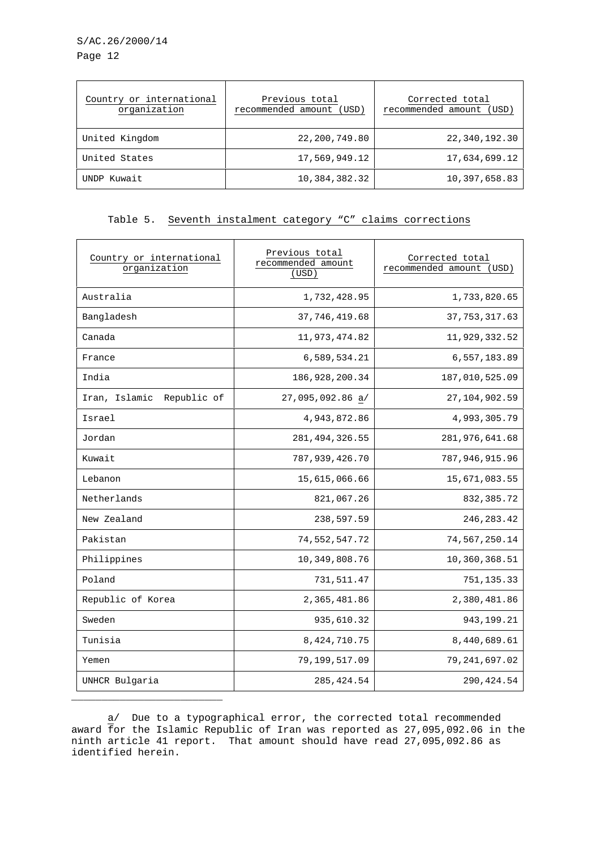S/AC.26/2000/14 Page 12

| Country or international<br>organization | Previous total<br>recommended amount (USD) | Corrected total<br>recommended amount (USD) |
|------------------------------------------|--------------------------------------------|---------------------------------------------|
| United Kingdom                           | 22, 200, 749.80                            | 22,340,192.30                               |
| United States                            | 17,569,949.12                              | 17,634,699.12                               |
| UNDP Kuwait                              | 10,384,382.32                              | 10,397,658.83                               |

## Table 5. Seventh instalment category "C" claims corrections

| Country or international<br>organization | Previous total<br>recommended amount<br>(USD) | Corrected total<br>recommended amount<br>(USD) |
|------------------------------------------|-----------------------------------------------|------------------------------------------------|
| Australia                                | 1,732,428.95                                  | 1,733,820.65                                   |
| Bangladesh                               | 37, 746, 419.68                               | 37, 753, 317.63                                |
| Canada                                   | 11,973,474.82                                 | 11,929,332.52                                  |
| France                                   | 6,589,534.21                                  | 6,557,183.89                                   |
| India                                    | 186, 928, 200. 34                             | 187,010,525.09                                 |
| Iran, Islamic<br>Republic of             | 27,095,092.86 a/                              | 27, 104, 902.59                                |
| Israel                                   | 4,943,872.86                                  | 4,993,305.79                                   |
| Jordan                                   | 281, 494, 326.55                              | 281,976,641.68                                 |
| Kuwait                                   | 787,939,426.70                                | 787,946,915.96                                 |
| Lebanon                                  | 15,615,066.66                                 | 15,671,083.55                                  |
| Netherlands                              | 821,067.26                                    | 832, 385.72                                    |
| New Zealand                              | 238,597.59                                    | 246, 283. 42                                   |
| Pakistan                                 | 74,552,547.72                                 | 74,567,250.14                                  |
| Philippines                              | 10,349,808.76                                 | 10,360,368.51                                  |
| Poland                                   | 731,511.47                                    | 751, 135.33                                    |
| Republic of Korea                        | 2,365,481.86                                  | 2,380,481.86                                   |
| Sweden                                   | 935,610.32                                    | 943, 199. 21                                   |
| Tunisia                                  | 8,424,710.75                                  | 8,440,689.61                                   |
| Yemen                                    | 79,199,517.09                                 | 79,241,697.02                                  |
| UNHCR Bulgaria                           | 285, 424.54                                   | 290, 424.54                                    |

a/ Due to a typographical error, the corrected total recommended award for the Islamic Republic of Iran was reported as 27,095,092.06 in the ninth article 41 report. That amount should have read 27,095,092.86 as identified herein.